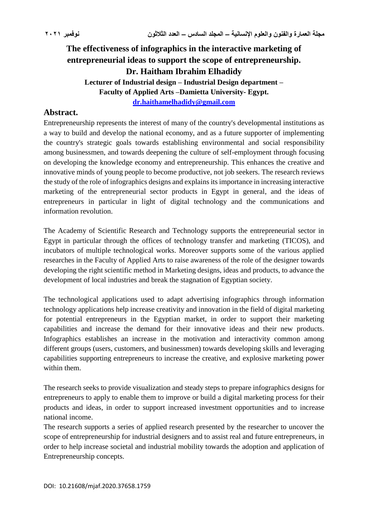# **The effectiveness of infographics in the interactive marketing of entrepreneurial ideas to support the scope of entrepreneurship. Dr. Haitham Ibrahim Elhadidy Lecturer of Industrial design – Industrial Design department – Faculty of Applied Arts –Damietta University- Egypt. [dr.haithamelhadidy@gmail.com](mailto:dr.haithamelhadidy@gmail.com)**

# **Abstract.**

Entrepreneurship represents the interest of many of the country's developmental institutions as a way to build and develop the national economy, and as a future supporter of implementing the country's strategic goals towards establishing environmental and social responsibility among businessmen, and towards deepening the culture of self-employment through focusing on developing the knowledge economy and entrepreneurship. This enhances the creative and innovative minds of young people to become productive, not job seekers. The research reviews the study of the role of infographics designs and explains its importance in increasing interactive marketing of the entrepreneurial sector products in Egypt in general, and the ideas of entrepreneurs in particular in light of digital technology and the communications and information revolution.

The Academy of Scientific Research and Technology supports the entrepreneurial sector in Egypt in particular through the offices of technology transfer and marketing (TICOS), and incubators of multiple technological works. Moreover supports some of the various applied researches in the Faculty of Applied Arts to raise awareness of the role of the designer towards developing the right scientific method in Marketing designs, ideas and products, to advance the development of local industries and break the stagnation of Egyptian society.

The technological applications used to adapt advertising infographics through information technology applications help increase creativity and innovation in the field of digital marketing for potential entrepreneurs in the Egyptian market, in order to support their marketing capabilities and increase the demand for their innovative ideas and their new products. Infographics establishes an increase in the motivation and interactivity common among different groups (users, customers, and businessmen) towards developing skills and leveraging capabilities supporting entrepreneurs to increase the creative, and explosive marketing power within them.

The research seeks to provide visualization and steady steps to prepare infographics designs for entrepreneurs to apply to enable them to improve or build a digital marketing process for their products and ideas, in order to support increased investment opportunities and to increase national income.

The research supports a series of applied research presented by the researcher to uncover the scope of entrepreneurship for industrial designers and to assist real and future entrepreneurs, in order to help increase societal and industrial mobility towards the adoption and application of Entrepreneurship concepts.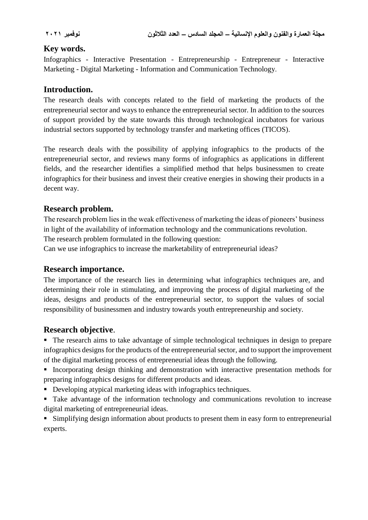# **Key words.**

Infographics - Interactive Presentation - Entrepreneurship - Entrepreneur - Interactive Marketing - Digital Marketing - Information and Communication Technology.

# **Introduction.**

The research deals with concepts related to the field of marketing the products of the entrepreneurial sector and ways to enhance the entrepreneurial sector. In addition to the sources of support provided by the state towards this through technological incubators for various industrial sectors supported by technology transfer and marketing offices (TICOS).

The research deals with the possibility of applying infographics to the products of the entrepreneurial sector, and reviews many forms of infographics as applications in different fields, and the researcher identifies a simplified method that helps businessmen to create infographics for their business and invest their creative energies in showing their products in a decent way.

# **Research problem.**

The research problem lies in the weak effectiveness of marketing the ideas of pioneers' business in light of the availability of information technology and the communications revolution.

The research problem formulated in the following question:

Can we use infographics to increase the marketability of entrepreneurial ideas?

### **Research importance.**

The importance of the research lies in determining what infographics techniques are, and determining their role in stimulating, and improving the process of digital marketing of the ideas, designs and products of the entrepreneurial sector, to support the values of social responsibility of businessmen and industry towards youth entrepreneurship and society.

### **Research objective**.

 The research aims to take advantage of simple technological techniques in design to prepare infographics designs for the products of the entrepreneurial sector, and to support the improvement of the digital marketing process of entrepreneurial ideas through the following.

 Incorporating design thinking and demonstration with interactive presentation methods for preparing infographics designs for different products and ideas.

- Developing atypical marketing ideas with infographics techniques.
- Take advantage of the information technology and communications revolution to increase digital marketing of entrepreneurial ideas.

**Simplifying design information about products to present them in easy form to entrepreneurial** experts.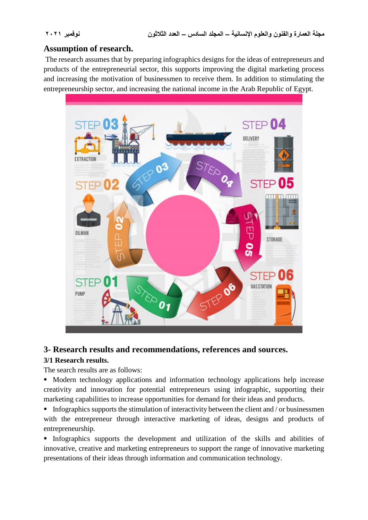# **Assumption of research.**

The research assumes that by preparing infographics designs for the ideas of entrepreneurs and products of the entrepreneurial sector, this supports improving the digital marketing process and increasing the motivation of businessmen to receive them. In addition to stimulating the entrepreneurship sector, and increasing the national income in the Arab Republic of Egypt.



### **3- Research results and recommendations, references and sources.**

### **3/1 Research results.**

The search results are as follows:

 Modern technology applications and information technology applications help increase creativity and innovation for potential entrepreneurs using infographic, supporting their marketing capabilities to increase opportunities for demand for their ideas and products.

Infographics supports the stimulation of interactivity between the client and  $\theta$  or businessmen with the entrepreneur through interactive marketing of ideas, designs and products of entrepreneurship.

 Infographics supports the development and utilization of the skills and abilities of innovative, creative and marketing entrepreneurs to support the range of innovative marketing presentations of their ideas through information and communication technology.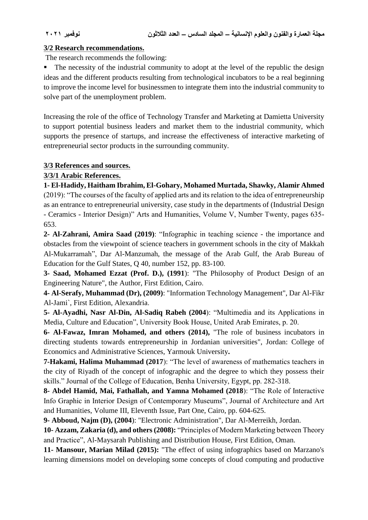#### **3/2 Research recommendations.**

The research recommends the following:

The necessity of the industrial community to adopt at the level of the republic the design ideas and the different products resulting from technological incubators to be a real beginning to improve the income level for businessmen to integrate them into the industrial community to solve part of the unemployment problem.

Increasing the role of the office of Technology Transfer and Marketing at Damietta University to support potential business leaders and market them to the industrial community, which supports the presence of startups, and increase the effectiveness of interactive marketing of entrepreneurial sector products in the surrounding community.

#### **3/3 References and sources.**

#### **3/3/1 Arabic References.**

**1- El-Hadidy, Haitham Ibrahim, El-Gohary, Mohamed Murtada, Shawky, Alamir Ahmed** (2019): "The courses of the faculty of applied arts and its relation to the idea of entrepreneurship as an entrance to entrepreneurial university, case study in the departments of (Industrial Design - Ceramics - Interior Design)" Arts and Humanities, Volume V, Number Twenty, pages 635- 653.

**2- Al-Zahrani, Amira Saad (2019)**: "Infographic in teaching science - the importance and obstacles from the viewpoint of science teachers in government schools in the city of Makkah Al-Mukarramah", Dar Al-Manzumah, the message of the Arab Gulf, the Arab Bureau of Education for the Gulf States, Q 40, number 152, pp. 83-100.

**3- Saad, Mohamed Ezzat (Prof. D.), (1991**): "The Philosophy of Product Design of an Engineering Nature", the Author, First Edition, Cairo.

**4- Al-Serafy, Muhammad (Dr), (2009)**: "Information Technology Management", Dar Al-Fikr Al-Jami`, First Edition, Alexandria.

**5- Al-Ayadhi, Nasr Al-Din, Al-Sadiq Rabeh (2004**): "Multimedia and its Applications in Media, Culture and Education", University Book House, United Arab Emirates, p. 20.

**6- Al-Fawaz, Imran Mohamed, and others (2014),** "The role of business incubators in directing students towards entrepreneurship in Jordanian universities", Jordan: College of Economics and Administrative Sciences, Yarmouk University**.**

**7-Hakami, Halima Muhammad (2017**): "The level of awareness of mathematics teachers in the city of Riyadh of the concept of infographic and the degree to which they possess their skills." Journal of the College of Education, Benha University, Egypt, pp. 282-318.

**8- Abdel Hamid, Mai, Fathallah, and Yamna Mohamed (2018**): "The Role of Interactive Info Graphic in Interior Design of Contemporary Museums", Journal of Architecture and Art and Humanities, Volume III, Eleventh Issue, Part One, Cairo, pp. 604-625.

**9- Abboud, Najm (D), (2004**): "Electronic Administration", Dar Al-Merreikh, Jordan.

**10- Azzam, Zakaria (d), and others (2008):** "Principles of Modern Marketing between Theory and Practice", Al-Maysarah Publishing and Distribution House, First Edition, Oman.

**11- Mansour, Marian Milad (2015):** "The effect of using infographics based on Marzano's learning dimensions model on developing some concepts of cloud computing and productive